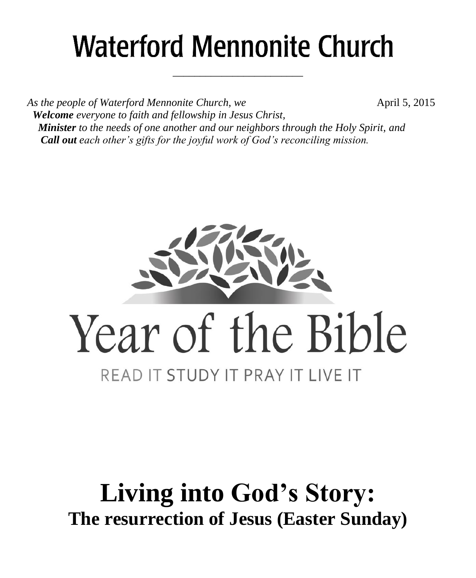# **Waterford Mennonite Church**

\_\_\_\_\_\_\_\_\_\_\_\_\_\_\_\_\_\_\_\_\_\_\_\_

*As the people of Waterford Mennonite Church, we* **April 5, 2015**  *Welcome everyone to faith and fellowship in Jesus Christ, Minister to the needs of one another and our neighbors through the Holy Spirit, and Call out each other's gifts for the joyful work of God's reconciling mission.*



# **Living into God's Story: The resurrection of Jesus (Easter Sunday)**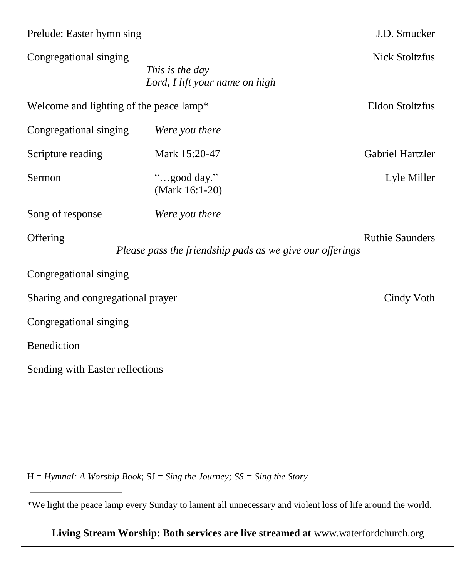| Prelude: Easter hymn sing               |                                                          | J.D. Smucker            |  |  |
|-----------------------------------------|----------------------------------------------------------|-------------------------|--|--|
| Congregational singing                  | This is the day<br>Lord, I lift your name on high        | <b>Nick Stoltzfus</b>   |  |  |
| Welcome and lighting of the peace lamp* |                                                          | <b>Eldon Stoltzfus</b>  |  |  |
| Congregational singing                  | Were you there                                           |                         |  |  |
| Scripture reading                       | Mark 15:20-47                                            | <b>Gabriel Hartzler</b> |  |  |
| Sermon                                  | "good day."<br>(Mark 16:1-20)                            | Lyle Miller             |  |  |
| Song of response                        | Were you there                                           |                         |  |  |
| Offering                                | Please pass the friendship pads as we give our offerings | <b>Ruthie Saunders</b>  |  |  |
| Congregational singing                  |                                                          |                         |  |  |
| Sharing and congregational prayer       | Cindy Voth                                               |                         |  |  |
| Congregational singing                  |                                                          |                         |  |  |
| Benediction                             |                                                          |                         |  |  |
| Sending with Easter reflections         |                                                          |                         |  |  |

H = *Hymnal: A Worship Book*; SJ = *Sing the Journey; SS = Sing the Story*

\*We light the peace lamp every Sunday to lament all unnecessary and violent loss of life around the world.

**Living Stream Worship: Both services are live streamed at** [www.waterfordchurch.org](http://www.waterfordchurch.org/)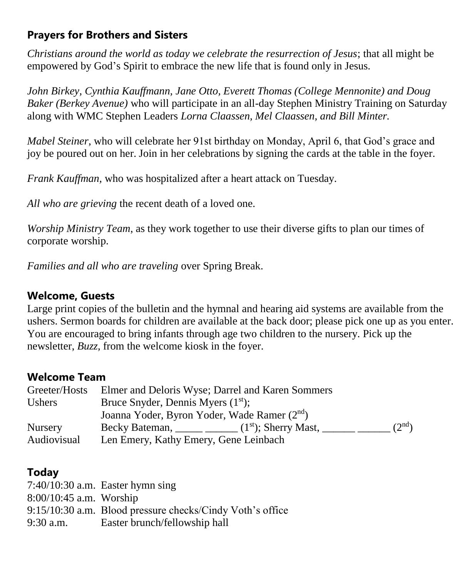# **Prayers for Brothers and Sisters**

*Christians around the world as today we celebrate the resurrection of Jesus*; that all might be empowered by God's Spirit to embrace the new life that is found only in Jesus.

*John Birkey, Cynthia Kauffmann, Jane Otto, Everett Thomas (College Mennonite) and Doug Baker (Berkey Avenue)* who will participate in an all-day Stephen Ministry Training on Saturday along with WMC Stephen Leaders *Lorna Claassen, Mel Claassen, and Bill Minter.*

*Mabel Steiner*, who will celebrate her 91st birthday on Monday, April 6, that God's grace and joy be poured out on her. Join in her celebrations by signing the cards at the table in the foyer.

*Frank Kauffman,* who was hospitalized after a heart attack on Tuesday.

*All who are grieving* the recent death of a loved one.

*Worship Ministry Team*, as they work together to use their diverse gifts to plan our times of corporate worship.

*Families and all who are traveling* over Spring Break.

# **Welcome, Guests**

Large print copies of the bulletin and the hymnal and hearing aid systems are available from the ushers. Sermon boards for children are available at the back door; please pick one up as you enter. You are encouraged to bring infants through age two children to the nursery. Pick up the newsletter, *Buzz,* from the welcome kiosk in the foyer.

# **Welcome Team**

| Greeter/Hosts  |                                                          | Elmer and Deloris Wyse; Darrel and Karen Sommers                                   |  |  |
|----------------|----------------------------------------------------------|------------------------------------------------------------------------------------|--|--|
| <b>Ushers</b>  | Bruce Snyder, Dennis Myers $(1st)$ ;                     |                                                                                    |  |  |
|                | Joanna Yoder, Byron Yoder, Wade Ramer (2 <sup>nd</sup> ) |                                                                                    |  |  |
| <b>Nursery</b> |                                                          | (2 <sup>nd</sup> )<br>Becky Bateman, _____ ______ $(1st)$ ; Sherry Mast, _______ _ |  |  |
| Audiovisual    | Len Emery, Kathy Emery, Gene Leinbach                    |                                                                                    |  |  |

# **Today**

|                           | $7:40/10:30$ a.m. Easter hymn sing                        |
|---------------------------|-----------------------------------------------------------|
| $8:00/10:45$ a.m. Worship |                                                           |
|                           | 9:15/10:30 a.m. Blood pressure checks/Cindy Voth's office |
| $9:30$ a.m.               | Easter brunch/fellowship hall                             |